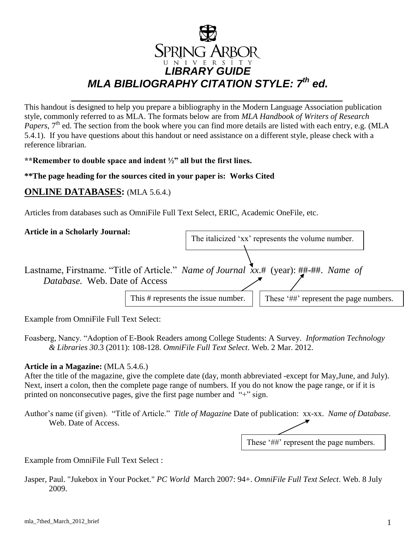

This handout is designed to help you prepare a bibliography in the Modern Language Association publication style, commonly referred to as MLA. The formats below are from *MLA Handbook of Writers of Research*  Papers, 7<sup>th</sup> ed. The section from the book where you can find more details are listed with each entry, e.g. (MLA 5.4.1). If you have questions about this handout or need assistance on a different style, please check with a reference librarian.

#### **\*\*Remember to double space and indent ½" all but the first lines.**

#### **\*\*The page heading for the sources cited in your paper is: Works Cited**

### **ONLINE DATABASES:** (MLA 5.6.4.)

Articles from databases such as OmniFile Full Text Select, ERIC, Academic OneFile, etc.

#### **Article in a Scholarly Journal:**

Lastname, Firstname. "Title of Article." *Name of Journal xx*.# (year): ##-##. *Name of Database.* Web. Date of Access The italicized 'xx' represents the volume number. This # represents the issue number.  $\parallel \cdot \parallel$  These '##' represent the page numbers.

Example from OmniFile Full Text Select:

Foasberg, Nancy. "Adoption of E-Book Readers among College Students: A Survey. *Information Technology & Libraries 30*.3 (2011): 108-128. *OmniFile Full Text Select*. Web. 2 Mar. 2012.

#### **Article in a Magazine:** (MLA 5.4.6.)

After the title of the magazine, give the complete date (day, month abbreviated -except for May,June, and July). Next, insert a colon, then the complete page range of numbers. If you do not know the page range, or if it is printed on nonconsecutive pages, give the first page number and "+" sign.

Author's name (if given). "Title of Article." *Title of Magazine* Date of publication: xx-xx. *Name of Database*. Web. Date of Access.

These '##' represent the page numbers.

Example from OmniFile Full Text Select :

Jasper, Paul. "Jukebox in Your Pocket." *PC World* March 2007: 94+. *OmniFile Full Text Select*. Web. 8 July 2009.